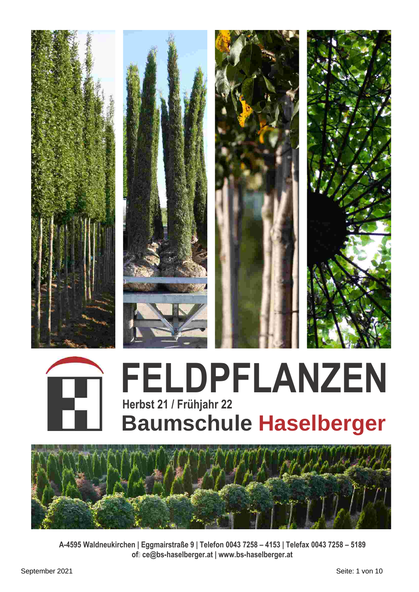



## **FELDPFLANZEN Herbst 21 / Frühjahr 22 Baumschule Haselberger**



**A-4595 Waldneukirchen | Eggmairstraße 9 | Telefon 0043 7258 – 4153 | Telefax 0043 7258 – 5189 of?ce@bs-haselberger.at | www.bs-haselberger.at**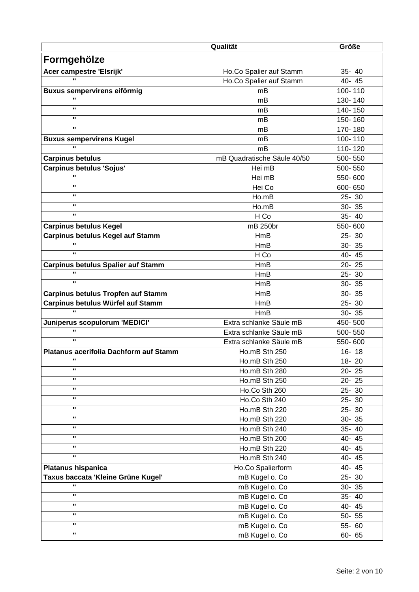|                                                 | Qualität                    | Größe     |
|-------------------------------------------------|-----------------------------|-----------|
| Formgehölze                                     |                             |           |
| Acer campestre 'Elsrijk'                        | Ho.Co Spalier auf Stamm     | 35-40     |
|                                                 | Ho.Co Spalier auf Stamm     | 40-45     |
|                                                 | mB                          | 100-110   |
| Buxus sempervirens eiförmig<br>$\mathbf{u}$     | mB                          | 130-140   |
| $\mathbf{u}$                                    |                             | 140-150   |
| $\mathbf{u}$                                    | mB<br>mB                    |           |
| $\mathbf{u}$                                    |                             | 150-160   |
|                                                 | mB                          | 170-180   |
| <b>Buxus sempervirens Kugel</b><br>$\mathbf{u}$ | mB                          | 100-110   |
|                                                 | mB                          | 110-120   |
| <b>Carpinus betulus</b>                         | mB Quadratische Säule 40/50 | 500-550   |
| <b>Carpinus betulus 'Sojus'</b><br>$\mathbf{u}$ | Hei mB                      | 500-550   |
|                                                 | Hei mB                      | 550-600   |
| $\mathbf{u}$                                    | Hei Co                      | 600-650   |
| $\mathbf{u}$                                    | Ho.mB                       | 25-30     |
| $\mathbf{u}$                                    | Ho.mB                       | $30 - 35$ |
| $\mathbf{u}$                                    | H Co                        | 35-40     |
| <b>Carpinus betulus Kegel</b>                   | mB 250br                    | 550-600   |
| <b>Carpinus betulus Kegel auf Stamm</b>         | <b>HmB</b>                  | $25 - 30$ |
| $\mathbf{u}$                                    | <b>HmB</b>                  | $30 - 35$ |
| $\mathbf{u}$                                    | H Co                        | 40-45     |
| <b>Carpinus betulus Spalier auf Stamm</b>       | HmB                         | $20 - 25$ |
| $\mathbf{u}$                                    | HmB                         | 25-30     |
| $\mathbf{u}$                                    | HmB                         | $30 - 35$ |
| <b>Carpinus betulus Tropfen auf Stamm</b>       | <b>HmB</b>                  | $30 - 35$ |
| Carpinus betulus Würfel auf Stamm               | <b>HmB</b>                  | 25-30     |
| $\overline{\mathbf{u}}$                         | HmB                         | $30 - 35$ |
| Juniperus scopulorum 'MEDICI'                   | Extra schlanke Säule mB     | 450-500   |
| $\mathbf{u}$                                    | Extra schlanke Säule mB     | 500-550   |
| $\mathbf{u}$                                    | Extra schlanke Säule mB     | 550-600   |
| Platanus acerifolia Dachform auf Stamm          | Ho.mB Sth 250               | $16 - 18$ |
| п.                                              | Ho.mB Sth 250               | 18-20     |
| $\mathbf{u}$                                    | Ho.mB Sth 280               | $20 - 25$ |
| $\mathbf{u}$                                    | Ho.mB Sth 250               | $20 - 25$ |
| $\mathbf{u}$                                    | Ho.Co Sth 260               | 25-30     |
| $\mathbf{u}$                                    |                             |           |
| $\mathbf{u}$                                    | Ho.Co Sth 240               | 25-30     |
| $\mathbf{u}$                                    | Ho.mB Sth 220               | 25-30     |
| п.                                              | Ho.mB Sth 220               | $30 - 35$ |
|                                                 | Ho.mB Sth 240               | 35-40     |
| $\mathbf{u}$                                    | Ho.mB Sth 200               | 40-45     |
| $\mathbf{u}$                                    | Ho.mB Sth 220               | 40-45     |
| $\mathbf{u}$                                    | Ho.mB Sth 240               | 40-45     |
| <b>Platanus hispanica</b>                       | Ho.Co Spalierform           | 40-45     |
| Taxus baccata 'Kleine Grüne Kugel'              | mB Kugel o. Co              | $25 - 30$ |
| $\mathbf{u}$                                    | mB Kugel o. Co              | $30 - 35$ |
| $\mathbf{u}$                                    | mB Kugel o. Co              | 35-40     |
| $\mathbf{u}$                                    | mB Kugel o. Co              | 40-45     |
| $\mathbf{u}$                                    | mB Kugel o. Co              | $50 - 55$ |
| ш                                               | mB Kugel o. Co              | 55-60     |
| $\mathbf{u}$                                    | mB Kugel o. Co              | $60 - 65$ |
|                                                 |                             |           |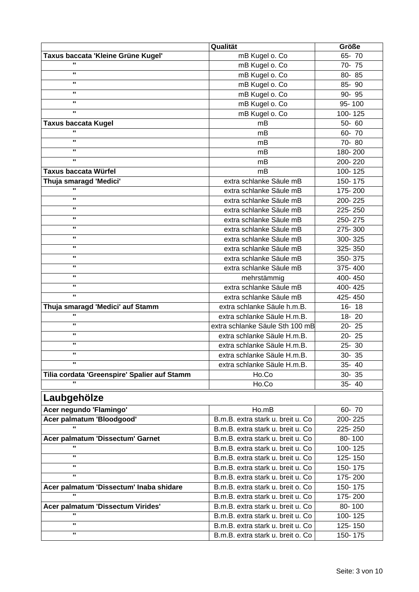|                                                         | Qualität                           | Größe              |
|---------------------------------------------------------|------------------------------------|--------------------|
| Taxus baccata 'Kleine Grüne Kugel'                      | mB Kugel o. Co                     | $65 - 70$          |
| $\mathbf{u}$                                            | mB Kugel o. Co                     | 70-75              |
| $\mathbf{u}$                                            | mB Kugel o. Co                     | 80-85              |
| $\mathbf{u}$                                            | mB Kugel o. Co                     | 85-90              |
| п.                                                      | mB Kugel o. Co                     | 90-95              |
| $\mathbf{u}$                                            | mB Kugel o. Co                     | 95-100             |
| $\mathbf{u}$                                            | mB Kugel o. Co                     | 100-125            |
| <b>Taxus baccata Kugel</b>                              | mB                                 | 50-60              |
| $\mathbf{u}$                                            | mB                                 | 60-70              |
| $\mathbf{u}$                                            | mB                                 | 70-80              |
| $\mathbf{u}$                                            | mB                                 | 180-200            |
| $\mathbf{u}$                                            | mB                                 | 200-220            |
| <b>Taxus baccata Würfel</b>                             | mB                                 | 100-125            |
|                                                         | extra schlanke Säule mB            |                    |
| Thuja smaragd 'Medici'<br>$\mathbf{u}$                  | extra schlanke Säule mB            | 150-175<br>175-200 |
| $\mathbf{u}$                                            |                                    |                    |
| $\mathbf{u}$                                            | extra schlanke Säule mB            | 200-225            |
| п.                                                      | extra schlanke Säule mB            | 225-250            |
|                                                         | extra schlanke Säule mB            | 250-275            |
| п.                                                      | extra schlanke Säule mB            | 275-300            |
| $\mathbf{u}$                                            | extra schlanke Säule mB            | 300-325            |
| $\mathbf{u}$                                            | extra schlanke Säule mB            | 325-350            |
| $\mathbf{u}$                                            | extra schlanke Säule mB            | 350-375            |
| $\mathbf{u}$                                            | extra schlanke Säule mB            | 375-400            |
| п.                                                      | mehrstämmig                        | 400-450            |
| $\mathbf{u}$                                            | extra schlanke Säule mB            | 400-425            |
| $\mathbf{u}$                                            | extra schlanke Säule mB            | 425-450            |
| Thuja smaragd 'Medici' auf Stamm                        | extra schlanke Säule h.m.B.        | $16 - 18$          |
| $\mathbf{u}$                                            | extra schlanke Säule H.m.B.        | $18 - 20$          |
| $\mathbf{u}$                                            | extra schlanke Säule Sth 100 mB    | $20 - 25$          |
| п.                                                      | extra schlanke Säule H.m.B.        | 20-25              |
| п.                                                      | extra schlanke Säule H.m.B.        | 25-30              |
| п.                                                      | extra schlanke Säule H.m.B         | 30-35              |
| $\mathbf{u}$                                            | extra schlanke Säule H.m.B.        | 35-40              |
| Tilia cordata 'Greenspire' Spalier auf Stamm            | Ho.Co                              | $30 - 35$          |
| $\mathbf{u}$                                            | Ho.Co                              | 35-40              |
|                                                         |                                    |                    |
| Laubgehölze                                             |                                    |                    |
| Acer negundo 'Flamingo'                                 | Ho.mB                              | 60-70              |
| Acer palmatum 'Bloodgood'                               | B.m.B. extra stark u. breit u. Co  | 200-225            |
| $\mathbf{u}$                                            | B.m.B. extra stark u. breit u. Co  | 225-250            |
| Acer palmatum 'Dissectum' Garnet                        | B.m.B. extra stark u. breit u. Co  | 80-100             |
| $\mathbf{u}$                                            | B.m.B. extra stark u. breit u. Co  | 100-125            |
| $\mathbf{u}$                                            | B.m.B. extra stark u. breit u. Co  | 125-150            |
| п.                                                      | B.m.B. extra stark u. breit u. Co  | 150-175            |
| $\mathbf{u}$                                            | B.m.B. extra stark u. breit u. Co  | 175-200            |
|                                                         |                                    |                    |
| Acer palmatum 'Dissectum' Inaba shidare<br>$\mathbf{u}$ | B.m.B. extra stark u. breit o. Co. | 150-175            |
|                                                         | B.m.B. extra stark u. breit u. Co  | 175-200            |
| Acer palmatum 'Dissectum Virides'<br>$\mathbf{u}$       | B.m.B. extra stark u. breit u. Co  | 80-100             |
|                                                         | B.m.B. extra stark u. breit u. Co  | 100-125            |
| п.                                                      | B.m.B. extra stark u. breit u. Co  | 125-150            |
| п.                                                      | B.m.B. extra stark u. breit o. Co  | 150-175            |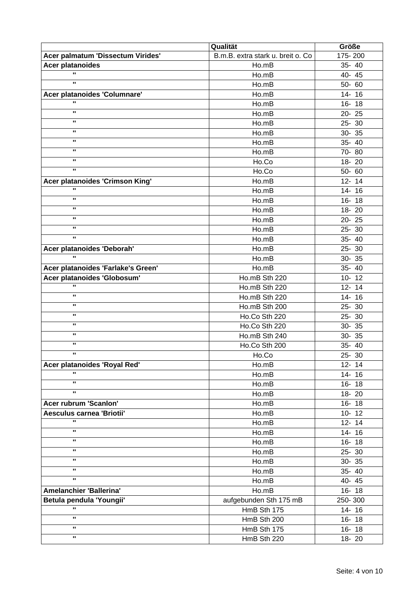|                                    | Qualität                          | Größe     |
|------------------------------------|-----------------------------------|-----------|
| Acer palmatum 'Dissectum Virides'  | B.m.B. extra stark u. breit o. Co | 175-200   |
| <b>Acer platanoides</b>            | Ho.mB                             | 35-40     |
| $\mathbf{u}$                       | Ho.mB                             | 40-45     |
| $\mathbf{u}$                       | Ho.mB                             | $50 - 60$ |
| Acer platanoides 'Columnare'       | Ho.mB                             | 14-16     |
| $\mathbf{u}$                       | Ho.mB                             | $16 - 18$ |
| $\mathbf{u}$                       | Ho.mB                             | $20 - 25$ |
| $\mathbf{u}$                       | Ho.mB                             | $25 - 30$ |
| $\mathbf{u}$                       | Ho.mB                             | $30 - 35$ |
| $\mathbf{u}$                       | Ho.mB                             | 35-40     |
| $\mathbf{u}$                       | Ho.mB                             | 70-80     |
| $\mathbf{u}$                       | Ho.Co                             | 18-20     |
| $\mathbf{u}$                       | Ho.Co                             | $50 - 60$ |
| Acer platanoides 'Crimson King'    | Ho.mB                             | $12 - 14$ |
| $\mathbf{u}$                       | Ho.mB                             | $14 - 16$ |
| $\mathbf{u}$                       | Ho.mB                             | $16 - 18$ |
| $\mathbf{u}$                       | Ho.mB                             | 18-20     |
| $\mathbf{u}$                       | Ho.mB                             | $20 - 25$ |
| $\mathbf{u}$                       | Ho.mB                             | $25 - 30$ |
| $\mathbf{u}$                       | Ho.mB                             | 35-40     |
| Acer platanoides 'Deborah'         | Ho.mB                             | $25 - 30$ |
| $\mathbf{u}$                       | Ho.mB                             | $30 - 35$ |
| Acer platanoides 'Farlake's Green' | Ho.mB                             | 35-40     |
| Acer platanoides 'Globosum'        | Ho.mB Sth 220                     | $10 - 12$ |
| $\mathbf{u}$                       | Ho.mB Sth 220                     | $12 - 14$ |
| $\mathbf{u}$                       | Ho.mB Sth 220                     | $14 - 16$ |
| $\mathbf{u}$                       | Ho.mB Sth 200                     | 25-30     |
| $\mathbf{u}$                       | Ho.Co Sth 220                     | $25 - 30$ |
| $\mathbf{u}$                       | Ho.Co Sth 220                     | $30 - 35$ |
| $\mathbf{u}$                       | Ho.mB Sth 240                     | 30-35     |
| $\mathbf{u}$                       | Ho.Co Sth 200                     | 35-40     |
| $\mathbf{u}$                       | Ho.Co                             | 25-30     |
| Acer platanoides 'Royal Red'       | Ho.mB                             | $12 - 14$ |
| $\mathbf{u}$                       | Ho.mB                             | $14 - 16$ |
| $\mathbf{u}$                       | Ho.mB                             | $16 - 18$ |
| $\mathbf{u}$                       | Ho.mB                             | $18 - 20$ |
| Acer rubrum 'Scanlon'              | Ho.mB                             | $16 - 18$ |
| Aesculus carnea 'Briotii'          | Ho.mB                             | $10 - 12$ |
| $\mathbf{u}$                       | Ho.mB                             | $12 - 14$ |
| $\mathbf{u}$                       | Ho.mB                             | $14 - 16$ |
| $\mathbf{u}$                       | Ho.mB                             | $16 - 18$ |
| $\mathbf{u}$                       | Ho.mB                             | 25-30     |
| $\mathbf{u}$                       | Ho.mB                             | $30 - 35$ |
| $\mathbf{u}$                       | Ho.mB                             | 35-40     |
| $\mathbf{u}$                       | Ho.mB                             | 40-45     |
| Amelanchier 'Ballerina'            | Ho.mB                             | $16 - 18$ |
| Betula pendula 'Youngii'           | aufgebunden Sth 175 mB            | 250-300   |
| $\mathbf{u}$                       | HmB Sth 175                       | 14-16     |
| $\mathbf{u}$                       | HmB Sth 200                       | $16 - 18$ |
| $\mathbf{u}$                       |                                   |           |
| $\mathbf{u}$                       | HmB Sth 175                       | $16 - 18$ |
|                                    | HmB Sth 220                       | 18-20     |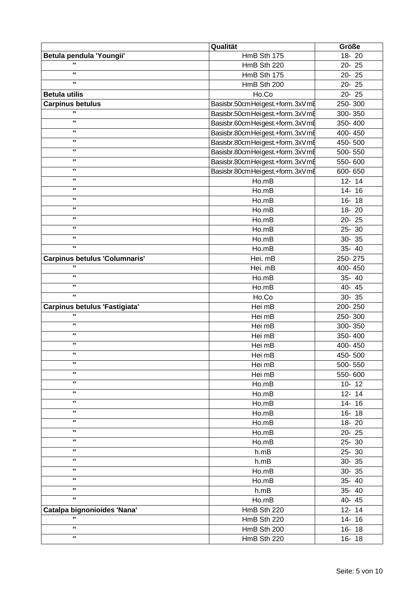|                                                      | Qualität                         | <b>Größe</b> |
|------------------------------------------------------|----------------------------------|--------------|
| Betula pendula 'Youngii'                             | HmB Sth 175                      | 18-20        |
| $\blacksquare$                                       | HmB Sth 220                      | $20 - 25$    |
| $\mathbf{u}$                                         | HmB Sth 175                      | 20-25        |
| $\mathbf{u}$                                         | HmB Sth 200                      | $20 - 25$    |
| <b>Betula utilis</b>                                 | Ho.Co                            | $20 - 25$    |
| <b>Carpinus betulus</b>                              | Basisbr.50cm Heigest.+form.3xVmE | 250-300      |
| $\overline{\mathbf{u}}$                              | Basisbr.50cm Heigest.+form.3xVmE | 300-350      |
| $\mathbf{u}$                                         | Basisbr.60cm Heigest.+form.3xVmE | 350-400      |
| $\mathbf{u}$                                         | Basisbr.80cm Heigest.+form.3xVmE | 400-450      |
| $\mathbf{u}$                                         | Basisbr.80cm Heigest.+form.3xVmE | 450-500      |
| $\mathbf{u}$                                         | Basisbr.80cm Heigest.+form.3xVmE | 500-550      |
| п.                                                   | Basisbr.80cm Heigest.+form.3xVmE | 550-600      |
| п.                                                   | Basisbr.80cm Heigest.+form.3xVmE | 600-650      |
| $\mathbf{u}$                                         | Ho.mB                            | $12 - 14$    |
| $\mathbf{u}$                                         | Ho.mB                            | $14 - 16$    |
| $\mathbf{u}$                                         | Ho.mB                            | $16 - 18$    |
| $\mathbf{u}$                                         |                                  |              |
| $\mathbf{u}$                                         | Ho.mB                            | 18-20        |
| п.                                                   | Ho.mB                            | $20 - 25$    |
| $\mathbf{u}$                                         | Ho.mB                            | $25 - 30$    |
| $\mathbf{u}$                                         | Ho.mB                            | 30-35        |
|                                                      | Ho.mB                            | $35 - 40$    |
| <b>Carpinus betulus 'Columnaris'</b><br>$\mathbf{u}$ | Hei. mB                          | 250-275      |
|                                                      | Hei. mB                          | 400-450      |
| $\mathbf{u}$                                         | Ho.mB                            | $35 - 40$    |
| $\mathbf{u}$                                         | Ho.mB                            | 40-45        |
| $\mathbf{u}$                                         | Ho.Co                            | $30 - 35$    |
| Carpinus betulus 'Fastigiata'                        | Hei mB                           | 200-250      |
| $\mathbf{u}$                                         | Hei mB                           | 250-300      |
| $\mathbf{u}$                                         | Hei mB                           | 300-350      |
| $\mathbf{u}$                                         | Hei mB                           | 350-400      |
| п.                                                   | Hei mB                           | 400-450      |
| п.                                                   | Hei mB                           | 450-500      |
| $\mathbf{u}$                                         | Hei mB                           | 500-550      |
| $\mathbf{u}$                                         | Hei mB                           | 550-600      |
| $\mathbf{u}$                                         | Ho.mB                            | $10 - 12$    |
| ш                                                    | Ho.mB                            | $12 - 14$    |
| $\mathbf{u}$                                         | Ho.mB                            | $14 - 16$    |
| ш                                                    | Ho.mB                            | $16 - 18$    |
| $\mathbf{u}$                                         | Ho.mB                            | 18-20        |
| $\mathbf{u}$                                         | Ho.mB                            | $20 - 25$    |
| $\mathbf{u}$                                         | Ho.mB                            | 25-30        |
| ш                                                    | h.mB                             | 25-30        |
| $\mathbf{u}$                                         | h.mB                             | 30-35        |
| $\mathbf{u}$                                         | Ho.mB                            | 30-35        |
| $\mathbf{u}$                                         | Ho.mB                            | 35-40        |
| $\mathbf{u}$                                         | h.mB                             | 35-40        |
| $\mathbf{u}$                                         | Ho.mB                            | 40-45        |
| Catalpa bignonioides 'Nana'                          | HmB Sth 220                      | $12 - 14$    |
| $\mathbf{u}$                                         | HmB Sth 220                      | 14-16        |
| $\mathbf{u}$                                         | HmB Sth 200                      |              |
| п.                                                   |                                  | $16 - 18$    |
|                                                      | HmB Sth 220                      | $16 - 18$    |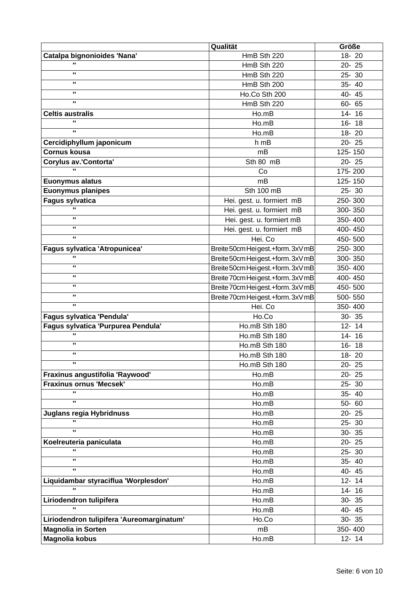|                                           | Qualität                          | Größe     |
|-------------------------------------------|-----------------------------------|-----------|
| Catalpa bignonioides 'Nana'               | HmB Sth 220                       | 18-20     |
| $\mathbf{u}$                              | HmB Sth 220                       | 20-25     |
| $\mathbf{u}$                              | HmB Sth 220                       | 25-30     |
| $\mathbf{u}$                              | HmB Sth 200                       | 35-40     |
| $\mathbf{u}$                              | Ho.Co Sth 200                     | 40-45     |
| $\mathbf{u}$                              | HmB Sth 220                       | 60- 65    |
| <b>Celtis australis</b>                   | Ho.mB                             | $14 - 16$ |
| $\mathbf{u}$                              | Ho.mB                             | $16 - 18$ |
| $\mathbf{u}$                              | Ho.mB                             | 18-20     |
| Cercidiphyllum japonicum                  | h mB                              | 20-25     |
| <b>Cornus kousa</b>                       | mB                                | 125-150   |
| Corylus av.'Contorta'                     | Sth 80 mB                         | $20 - 25$ |
| $\mathbf{u}$                              | Co                                | 175-200   |
| <b>Euonymus alatus</b>                    | mB                                | 125-150   |
| <b>Euonymus planipes</b>                  | Sth 100 mB                        | $25 - 30$ |
| <b>Fagus sylvatica</b>                    | Hei. gest. u. formiert mB         | 250-300   |
| $\mathbf{u}$                              | Hei. gest. u. formiert mB         | 300-350   |
| $\mathbf{u}$                              | Hei. gest. u. formiert mB         | 350-400   |
| $\mathbf{u}$                              | Hei. gest. u. formiert mB         | 400-450   |
| $\mathbf{u}$                              | Hei. Co                           | 450-500   |
| Fagus sylvatica 'Atropunicea'             | Breite 50cm Heigest.+form. 3xV mB | 250-300   |
| $\mathbf{u}$                              | Breite 50cm Heigest.+form. 3xV mB | 300-350   |
| $\mathbf{u}$                              | Breite 50cm Heigest.+form. 3xV mB | 350-400   |
| $\mathbf{u}$                              | Breite 70cm Heigest.+form. 3xV mB | 400-450   |
| $\mathbf{u}$                              | Breite 70cm Heigest.+form.3xV mB  | 450-500   |
| $\mathbf{u}$                              | Breite 70cm Heigest.+form. 3xV mB | 500-550   |
| $\mathbf{u}$                              | Hei. Co                           | 350-400   |
| Fagus sylvatica 'Pendula'                 | Ho.Co                             | $30 - 35$ |
| Fagus sylvatica 'Purpurea Pendula'        | Ho.mB Sth 180                     | $12 - 14$ |
| $\mathbf{u}$                              | Ho.mB Sth 180                     | 14-16     |
| $\mathbf{u}$                              | Ho.mB Sth 180                     | $16 - 18$ |
| $\mathbf{u}$                              | Ho.mB Sth 180                     | 18-20     |
| $\mathbf{u}$                              | Ho.mB Sth 180                     | $20 - 25$ |
| Fraxinus angustifolia 'Raywood'           | Ho.mB                             | 20-25     |
| <b>Fraxinus ornus 'Mecsek'</b>            | Ho.mB                             | $25 - 30$ |
| $\mathbf{u}$                              | Ho.mB                             | 35-40     |
| $\mathbf{u}$                              | Ho.mB                             | $50 - 60$ |
| <b>Juglans regia Hybridnuss</b>           | Ho.mB                             | $20 - 25$ |
| $\mathbf{u}$                              | Ho.mB                             | 25-30     |
| $\mathbf{u}$                              | Ho.mB                             | $30 - 35$ |
| Koelreuteria paniculata                   | Ho.mB                             | $20 - 25$ |
| $\mathbf{u}$                              | Ho.mB                             | 25-30     |
| $\mathbf{u}$                              | Ho.mB                             | 35-40     |
| $\mathbf{u}$                              | Ho.mB                             | 40-45     |
| Liquidambar styraciflua 'Worplesdon'      | Ho.mB                             | $12 - 14$ |
| $\mathbf{u}$                              | Ho.mB                             | $14 - 16$ |
| Liriodendron tulipifera                   | Ho.mB                             | $30 - 35$ |
| $\mathbf{u}$                              | Ho.mB                             | 40-45     |
| Liriodendron tulipifera 'Aureomarginatum' | Ho.Co                             | $30 - 35$ |
|                                           | mB                                | 350-400   |
| <b>Magnolia in Sorten</b>                 |                                   |           |
| <b>Magnolia kobus</b>                     | Ho.mB                             | $12 - 14$ |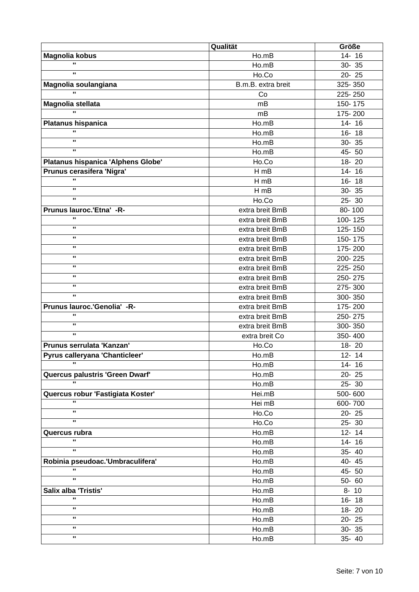|                                          | Qualität           | <b>Größe</b>         |
|------------------------------------------|--------------------|----------------------|
| Magnolia kobus                           | Ho.mB              | 14-16                |
| $\mathbf{u}$                             | Ho.mB              | 30-35                |
| $\mathbf{u}$                             | Ho.Co              | $\overline{20}$ - 25 |
| Magnolia soulangiana                     | B.m.B. extra breit | 325-350              |
| $\mathbf{u}$                             | Co                 | 225-250              |
| Magnolia stellata                        | mB                 | 150-175              |
| $\mathbf{u}$                             | mB                 | 175-200              |
| <b>Platanus hispanica</b>                | Ho.mB              | $14 - 16$            |
| $\mathbf{u}$                             | Ho.mB              | $16 - 18$            |
| $\mathbf{u}$                             | Ho.mB              | 30-35                |
| $\mathbf{u}$                             | Ho.mB              | 45-50                |
| Platanus hispanica 'Alphens Globe'       | Ho.Co              | 18-20                |
| Prunus cerasifera 'Nigra'                | $H$ mB             | 14-16                |
| $\mathbf{u}$                             | $H$ mB             | $16 - 18$            |
| $\mathbf{u}$                             | $H$ mB             | $30 - 35$            |
| $\mathbf{u}$                             | Ho.Co              | $25 - 30$            |
|                                          |                    |                      |
| Prunus lauroc.'Etna' -R-<br>$\mathbf{u}$ | extra breit BmB    | 80-100               |
| $\mathbf{u}$                             | extra breit BmB    | 100-125              |
| $\mathbf{u}$                             | extra breit BmB    | 125-150              |
|                                          | extra breit BmB    | 150-175              |
| $\mathbf{u}$                             | extra breit BmB    | 175-200              |
| п.                                       | extra breit BmB    | 200-225              |
| $\mathbf{u}$                             | extra breit BmB    | 225-250              |
| п.                                       | extra breit BmB    | 250-275              |
| $\mathbf{u}$                             | extra breit BmB    | 275-300              |
| $\mathbf{u}$                             | extra breit BmB    | 300-350              |
| Prunus lauroc.'Genolia' -R-              | extra breit BmB    | 175-200              |
| $\mathbf{u}$                             | extra breit BmB    | 250-275              |
| $\mathbf{u}$                             | extra breit BmB    | 300-350              |
| $\mathbf{u}$                             | extra breit Co     | 350-400              |
| Prunus serrulata 'Kanzan'                | Ho.Co              | 18-20                |
| Pyrus calleryana 'Chanticleer'           | Ho.mB              | $12 - 14$            |
|                                          | Ho.mB              | $14 - 16$            |
| Quercus palustris 'Green Dwarf'          | Ho.mB              | $20 - 25$            |
| $\overline{\mathbf{u}}$                  | Ho.mB              | $25 - 30$            |
| Quercus robur 'Fastigiata Koster'        | Hei.mB             | 500-600              |
| $\mathbf{u}$                             | Hei mB             | 600-700              |
| $\mathbf{u}$                             | Ho.Co              | $20 - 25$            |
| $\mathbf{H}$ .                           | Ho.Co              | $25 - 30$            |
| Quercus rubra                            | Ho.mB              | $12 - 14$            |
| $\mathbf{H}$                             | Ho.mB              | $14 - 16$            |
| $\mathbf{u}$                             | Ho.mB              | 35-40                |
| Robinia pseudoac.'Umbraculifera'         | Ho.mB              | 40-45                |
| $\mathbf{u}$                             | Ho.mB              | 45-50                |
| $\mathbf{u}$                             | Ho.mB              | 50-60                |
| Salix alba 'Tristis'                     | Ho.mB              | $8 - 10$             |
| $\mathbf{u}$                             |                    | $16 - 18$            |
| $\mathbf{u}$                             | Ho.mB              |                      |
| $\mathbf{u}$                             | Ho.mB              | $18 - 20$            |
| $\mathbf{u}$                             | Ho.mB              | $20 - 25$            |
| $\mathbf{H}$                             | Ho.mB              | $30 - 35$            |
|                                          | Ho.mB              | 35-40                |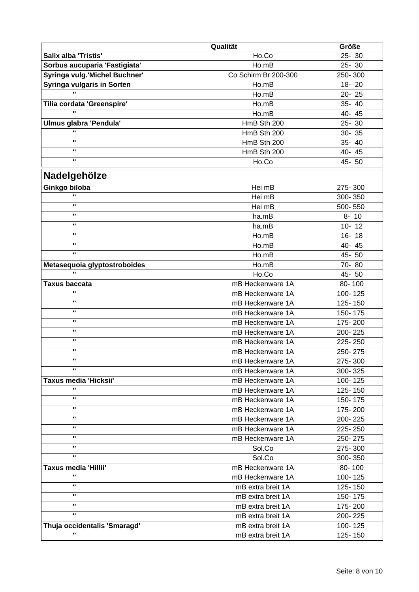|                                   | Qualität                             | Größe     |
|-----------------------------------|--------------------------------------|-----------|
| <b>Salix alba 'Tristis'</b>       | Ho.Co                                | $25 - 30$ |
| Sorbus aucuparia 'Fastigiata'     | Ho.mB                                | $25 - 30$ |
| Syringa vulg.'Michel Buchner'     | Co Schirm Br 200-300                 | 250-300   |
| <b>Syringa vulgaris in Sorten</b> | Ho.mB                                | 18-20     |
| $\mathbf{u}$                      | Ho.mB                                | $20 - 25$ |
| Tilia cordata 'Greenspire'        | Ho.mB                                | 35-40     |
|                                   | Ho.mB                                | 40-45     |
| Ulmus glabra 'Pendula'            | HmB Sth 200                          | 25-30     |
|                                   | HmB Sth 200                          | $30 - 35$ |
| $\mathbf{u}$                      | HmB Sth 200                          | 35-40     |
| $\mathbf{u}$                      | HmB Sth 200                          | 40-45     |
| $\mathbf{u}$                      | Ho.Co                                | 45-50     |
|                                   |                                      |           |
| Nadelgehölze                      |                                      |           |
| Ginkgo biloba                     | Hei mB                               | 275-300   |
| $\mathbf{u}$                      | Hei mB                               | 300-350   |
| $\mathbf{u}$                      | Hei mB                               | 500-550   |
| $\mathbf{u}$                      | ha.mB                                | $8 - 10$  |
| $\mathbf{u}$                      | ha.mB                                | $10 - 12$ |
| $\mathbf{u}$                      | Ho.mB                                | $16 - 18$ |
| $\mathbf{u}$                      | Ho.mB                                | 40-45     |
| $\mathbf{u}$                      | Ho.mB                                | 45-50     |
| Metasequoia glyptostroboides      | Ho.mB                                | 70-80     |
| $\mathbf{u}$                      | Ho.Co                                | 45-50     |
| <b>Taxus baccata</b>              | mB Heckenware 1A                     | 80-100    |
| $\mathbf{u}$                      | mB Heckenware 1A                     | 100-125   |
| $\mathbf{u}$                      | mB Heckenware 1A                     | 125-150   |
| $\mathbf{u}$                      | mB Heckenware 1A                     | 150-175   |
| п.                                | mB Heckenware 1A                     | 175-200   |
| п.                                | mB Heckenware 1A                     | 200-225   |
| п.                                | mB Heckenware 1A                     | 225-250   |
| $\mathbf{u}$                      | mB Heckenware 1A                     | 250-275   |
| ш                                 | mB Heckenware 1A                     | 275-300   |
| $\mathbf{u}$                      | mB Heckenware 1A                     | 300-325   |
| Taxus media 'Hicksii'             | mB Heckenware 1A                     | 100-125   |
| $\mathbf{u}$                      | mB Heckenware 1A                     | 125-150   |
| $\mathbf{u}$                      | mB Heckenware 1A                     | 150-175   |
| $\mathbf{u}$                      | mB Heckenware 1A                     | 175-200   |
| $\mathbf{u}$                      |                                      |           |
| $\mathbf{u}$                      | mB Heckenware 1A<br>mB Heckenware 1A | 200-225   |
| $\mathbf{u}$                      |                                      | 225-250   |
| $\mathbf{u}$                      | mB Heckenware 1A                     | 250-275   |
| $\mathbf{u}$                      | Sol.Co                               | 275-300   |
|                                   | Sol.Co                               | 300-350   |
| <b>Taxus media 'Hillii'</b>       | mB Heckenware 1A                     | 80-100    |
| $\mathbf{u}$                      | mB Heckenware 1A                     | 100-125   |
| $\mathbf{u}$                      | mB extra breit 1A                    | 125-150   |
| $\mathbf{u}$                      | mB extra breit 1A                    | 150-175   |
| $\mathbf{u}$                      | mB extra breit 1A                    | 175-200   |
| $\mathbf{u}$                      | mB extra breit 1A                    | 200-225   |
| Thuja occidentalis 'Smaragd'      | mB extra breit 1A                    | 100-125   |
| $\mathbf{u}$                      | mB extra breit 1A                    | 125-150   |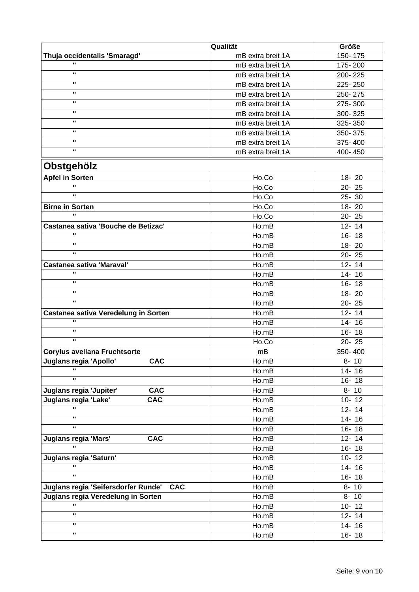|                                                     | Qualität          | Größe     |
|-----------------------------------------------------|-------------------|-----------|
| Thuja occidentalis 'Smaragd'                        | mB extra breit 1A | 150-175   |
| п                                                   | mB extra breit 1A | 175-200   |
| $\mathbf{u}$                                        | mB extra breit 1A | 200-225   |
| $\mathbf{u}$                                        | mB extra breit 1A | 225-250   |
| $\mathbf{u}$                                        | mB extra breit 1A | 250-275   |
| $\mathbf{u}$                                        | mB extra breit 1A | 275-300   |
| п.                                                  | mB extra breit 1A | 300-325   |
| п.                                                  | mB extra breit 1A | 325-350   |
| $\mathbf{u}$                                        | mB extra breit 1A | 350-375   |
| $\mathbf{u}$                                        | mB extra breit 1A | 375-400   |
| $\mathbf{u}$                                        | mB extra breit 1A | 400-450   |
| Obstgehölz                                          |                   |           |
|                                                     |                   |           |
| <b>Apfel in Sorten</b><br>$\mathbf{u}$              | Ho.Co             | 18-20     |
| $\mathbf{u}$                                        | Ho.Co             | 20-25     |
|                                                     | Ho.Co             | 25-30     |
| <b>Birne in Sorten</b><br>u,                        | Ho.Co             | 18-20     |
|                                                     | Ho.Co             | 20-25     |
| Castanea sativa 'Bouche de Betizac'<br>$\mathbf{u}$ | Ho.mB             | $12 - 14$ |
| п.                                                  | Ho.mB             | $16 - 18$ |
| $\mathbf{u}$                                        | Ho.mB             | $18 - 20$ |
|                                                     | Ho.mB             | $20 - 25$ |
| <b>Castanea sativa 'Maraval'</b>                    | Ho.mB             | $12 - 14$ |
| $\mathbf{u}$                                        | Ho.mB             | 14-16     |
| $\mathbf{u}$                                        | Ho.mB             | $16 - 18$ |
| $\mathbf{u}$                                        | Ho.mB             | 18-20     |
| $\mathbf{u}$                                        | Ho.mB             | $20 - 25$ |
| Castanea sativa Veredelung in Sorten                | Ho.mB             | $12 - 14$ |
| $\mathbf{u}$                                        | Ho.mB             | 14-16     |
| $\mathbf{u}$                                        | Ho.mB             | 16-18     |
| $\mathbf{u}$                                        | Ho.Co             | 20-25     |
| <b>Corylus avellana Fruchtsorte</b>                 | mB                | 350-400   |
| Juglans regia 'Apollo'<br><b>CAC</b>                | Ho.mB             | $8 - 10$  |
|                                                     | Ho.mB             | 14-16     |
| $\mathbf{u}$                                        | Ho.mB             | $16 - 18$ |
| Juglans regia 'Jupiter'<br><b>CAC</b>               | Ho.mB             | $8 - 10$  |
| Juglans regia 'Lake'<br><b>CAC</b>                  | $H_0.mB$          | $10 - 12$ |
| $\mathbf{u}$                                        | Ho.mB             | $12 - 14$ |
| $\mathbf{u}$                                        | Ho.mB             | $14 - 16$ |
| $\mathbf{u}$                                        | Ho.mB             | $16 - 18$ |
| Juglans regia 'Mars'<br><b>CAC</b>                  | Ho.mB             | $12 - 14$ |
| π.                                                  | Ho.mB             | $16 - 18$ |
| Juglans regia 'Saturn'                              | Ho.mB             | $10 - 12$ |
| $\mathbf{u}$                                        | Ho.mB             | $14 - 16$ |
| $\mathbf{u}$                                        | Ho.mB             | $16 - 18$ |
| Juglans regia 'Seifersdorfer Runde'<br><b>CAC</b>   | Ho.mB             | $8 - 10$  |
| Juglans regia Veredelung in Sorten                  | Ho.mB             | $8 - 10$  |
| $\mathbf{u}$                                        | Ho.mB             | $10 - 12$ |
| $\mathbf{u}$                                        | Ho.mB             | $12 - 14$ |
| $\mathbf{H}$                                        | Ho.mB             | $14 - 16$ |
| $\mathbf{H}$                                        |                   |           |
|                                                     | Ho.mB             | $16 - 18$ |